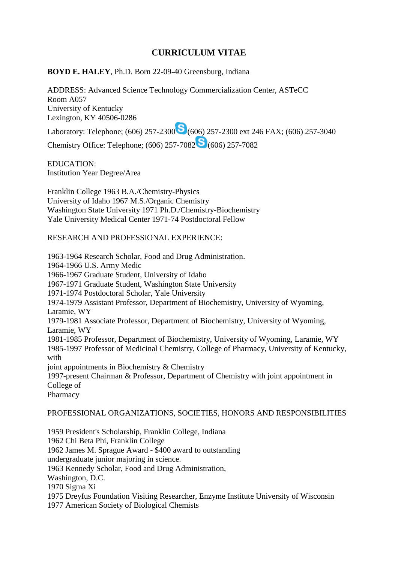# **CURRICULUM VITAE**

**BOYD E. HALEY**, Ph.D. Born 22-09-40 Greensburg, Indiana

ADDRESS: Advanced Science Technology Commercialization Center, ASTeCC Room A057 University of Kentucky Lexington, KY 40506-0286

Laboratory: Telephone; (606) 257-2300 (606) 257-2300 ext 246 FAX; (606) 257-3040

Chemistry Office: Telephone; (606) 257-7082 (606) 257-7082

EDUCATION: Institution Year Degree/Area

Franklin College 1963 B.A./Chemistry-Physics University of Idaho 1967 M.S./Organic Chemistry Washington State University 1971 Ph.D./Chemistry-Biochemistry Yale University Medical Center 1971-74 Postdoctoral Fellow

RESEARCH AND PROFESSIONAL EXPERIENCE:

1963-1964 Research Scholar, Food and Drug Administration. 1964-1966 U.S. Army Medic 1966-1967 Graduate Student, University of Idaho 1967-1971 Graduate Student, Washington State University 1971-1974 Postdoctoral Scholar, Yale University 1974-1979 Assistant Professor, Department of Biochemistry, University of Wyoming, Laramie, WY 1979-1981 Associate Professor, Department of Biochemistry, University of Wyoming, Laramie, WY 1981-1985 Professor, Department of Biochemistry, University of Wyoming, Laramie, WY 1985-1997 Professor of Medicinal Chemistry, College of Pharmacy, University of Kentucky, with joint appointments in Biochemistry & Chemistry 1997-present Chairman & Professor, Department of Chemistry with joint appointment in College of Pharmacy PROFESSIONAL ORGANIZATIONS, SOCIETIES, HONORS AND RESPONSIBILITIES 1959 President's Scholarship, Franklin College, Indiana 1962 Chi Beta Phi, Franklin College

1962 James M. Sprague Award - \$400 award to outstanding

undergraduate junior majoring in science.

1963 Kennedy Scholar, Food and Drug Administration,

Washington, D.C.

1970 Sigma Xi

1975 Dreyfus Foundation Visiting Researcher, Enzyme Institute University of Wisconsin

1977 American Society of Biological Chemists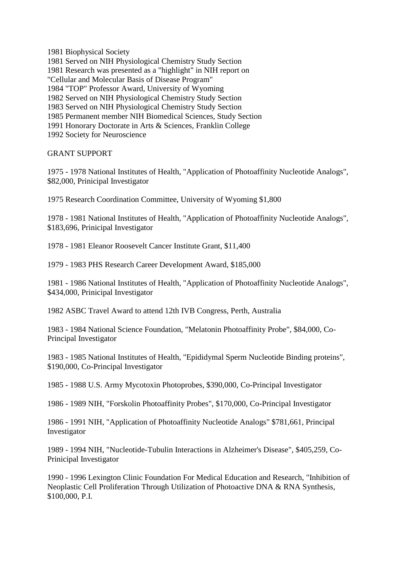1981 Biophysical Society

1981 Served on NIH Physiological Chemistry Study Section 1981 Research was presented as a "highlight" in NIH report on "Cellular and Molecular Basis of Disease Program" 1984 "TOP" Professor Award, University of Wyoming 1982 Served on NIH Physiological Chemistry Study Section 1983 Served on NIH Physiological Chemistry Study Section 1985 Permanent member NIH Biomedical Sciences, Study Section 1991 Honorary Doctorate in Arts & Sciences, Franklin College 1992 Society for Neuroscience

GRANT SUPPORT

1975 - 1978 National Institutes of Health, "Application of Photoaffinity Nucleotide Analogs", \$82,000, Prinicipal Investigator

1975 Research Coordination Committee, University of Wyoming \$1,800

1978 - 1981 National Institutes of Health, "Application of Photoaffinity Nucleotide Analogs", \$183,696, Prinicipal Investigator

1978 - 1981 Eleanor Roosevelt Cancer Institute Grant, \$11,400

1979 - 1983 PHS Research Career Development Award, \$185,000

1981 - 1986 National Institutes of Health, "Application of Photoaffinity Nucleotide Analogs", \$434,000, Prinicipal Investigator

1982 ASBC Travel Award to attend 12th IVB Congress, Perth, Australia

1983 - 1984 National Science Foundation, "Melatonin Photoaffinity Probe", \$84,000, Co-Principal Investigator

1983 - 1985 National Institutes of Health, "Epididymal Sperm Nucleotide Binding proteins", \$190,000, Co-Principal Investigator

1985 - 1988 U.S. Army Mycotoxin Photoprobes, \$390,000, Co-Principal Investigator

1986 - 1989 NIH, "Forskolin Photoaffinity Probes", \$170,000, Co-Principal Investigator

1986 - 1991 NIH, "Application of Photoaffinity Nucleotide Analogs" \$781,661, Principal Investigator

1989 - 1994 NIH, "Nucleotide-Tubulin Interactions in Alzheimer's Disease", \$405,259, Co-Prinicipal Investigator

1990 - 1996 Lexington Clinic Foundation For Medical Education and Research, "Inhibition of Neoplastic Cell Proliferation Through Utilization of Photoactive DNA & RNA Synthesis, \$100,000, P.I.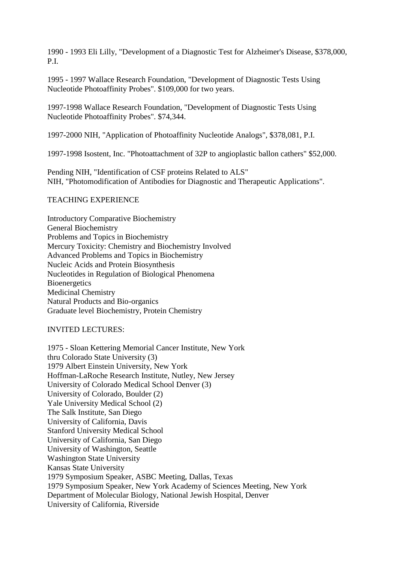1990 - 1993 Eli Lilly, "Development of a Diagnostic Test for Alzheimer's Disease, \$378,000, P.I.

1995 - 1997 Wallace Research Foundation, "Development of Diagnostic Tests Using Nucleotide Photoaffinity Probes". \$109,000 for two years.

1997-1998 Wallace Research Foundation, "Development of Diagnostic Tests Using Nucleotide Photoaffinity Probes". \$74,344.

1997-2000 NIH, "Application of Photoaffinity Nucleotide Analogs", \$378,081, P.I.

1997-1998 Isostent, Inc. "Photoattachment of 32P to angioplastic ballon cathers" \$52,000.

Pending NIH, "Identification of CSF proteins Related to ALS" NIH, "Photomodification of Antibodies for Diagnostic and Therapeutic Applications".

### TEACHING EXPERIENCE

Introductory Comparative Biochemistry General Biochemistry Problems and Topics in Biochemistry Mercury Toxicity: Chemistry and Biochemistry Involved Advanced Problems and Topics in Biochemistry Nucleic Acids and Protein Biosynthesis Nucleotides in Regulation of Biological Phenomena **Bioenergetics** Medicinal Chemistry Natural Products and Bio-organics Graduate level Biochemistry, Protein Chemistry

### INVITED LECTURES:

1975 - Sloan Kettering Memorial Cancer Institute, New York thru Colorado State University (3) 1979 Albert Einstein University, New York Hoffman-LaRoche Research Institute, Nutley, New Jersey University of Colorado Medical School Denver (3) University of Colorado, Boulder (2) Yale University Medical School (2) The Salk Institute, San Diego University of California, Davis Stanford University Medical School University of California, San Diego University of Washington, Seattle Washington State University Kansas State University 1979 Symposium Speaker, ASBC Meeting, Dallas, Texas 1979 Symposium Speaker, New York Academy of Sciences Meeting, New York Department of Molecular Biology, National Jewish Hospital, Denver University of California, Riverside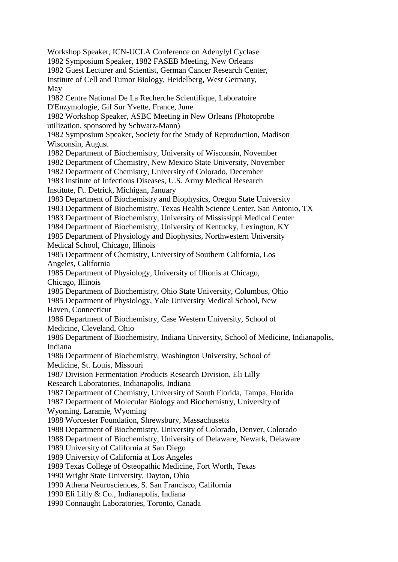Workshop Speaker, ICN-UCLA Conference on Adenylyl Cyclase 1982 Symposium Speaker, 1982 FASEB Meeting, New Orleans 1982 Guest Lecturer and Scientist, German Cancer Research Center, Institute of Cell and Tumor Biology, Heidelberg, West Germany, May 1982 Centre National De La Recherche Scientifique, Laboratoire D'Enzymologie, Gif Sur Yvette, France, June 1982 Workshop Speaker, ASBC Meeting in New Orleans (Photoprobe utilization, sponsored by Schwarz-Mann) 1982 Symposium Speaker, Society for the Study of Reproduction, Madison Wisconsin, August 1982 Department of Biochemistry, University of Wisconsin, November 1982 Department of Chemistry, New Mexico State University, November 1982 Department of Chemistry, University of Colorado, December 1983 Institute of Infectious Diseases, U.S. Army Medical Research Institute, Ft. Detrick, Michigan, January 1983 Department of Biochemistry and Biophysics, Oregon State University 1983 Department of Biochemistry, Texas Health Science Center, San Antonio, TX 1983 Department of Biochemistry, University of Mississippi Medical Center 1984 Department of Biochemistry, University of Kentucky, Lexington, KY 1985 Department of Physiology and Biophysics, Northwestern University Medical School, Chicago, Illinois 1985 Department of Chemistry, University of Southern California, Los Angeles, California 1985 Department of Physiology, University of Illionis at Chicago, Chicago, Illinois 1985 Department of Biochemistry, Ohio State University, Columbus, Ohio 1985 Department of Physiology, Yale University Medical School, New Haven, Connecticut 1986 Department of Biochemistry, Case Western University, School of Medicine, Cleveland, Ohio 1986 Department of Biochemistry, Indiana University, School of Medicine, Indianapolis, Indiana 1986 Department of Biochemistry, Washington University, School of Medicine, St. Louis, Missouri 1987 Division Fermentation Products Research Division, Eli Lilly Research Laboratories, Indianapolis, Indiana 1987 Department of Chemistry, University of South Florida, Tampa, Florida 1987 Department of Molecular Biology and Biochemistry, University of Wyoming, Laramie, Wyoming 1988 Worcester Foundation, Shrewsbury, Massachusetts 1988 Department of Biochemistry, University of Colorado, Denver, Colorado 1988 Department of Biochemistry, University of Delaware, Newark, Delaware 1989 University of California at San Diego 1989 University of California at Los Angeles 1989 Texas College of Osteopathic Medicine, Fort Worth, Texas 1990 Wright State University, Dayton, Ohio 1990 Athena Neurosciences, S. San Francisco, California 1990 Eli Lilly & Co., Indianapolis, Indiana 1990 Connaught Laboratories, Toronto, Canada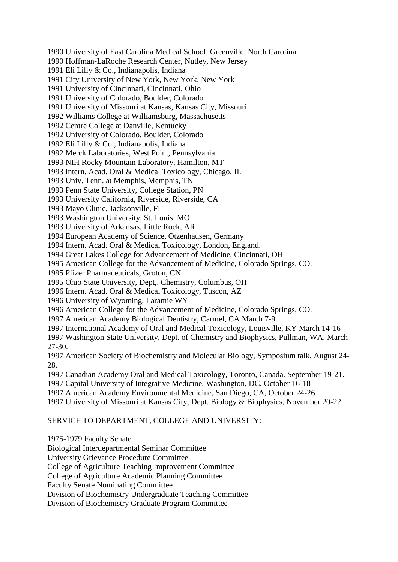1990 University of East Carolina Medical School, Greenville, North Carolina

1990 Hoffman-LaRoche Research Center, Nutley, New Jersey

1991 Eli Lilly & Co., Indianapolis, Indiana

1991 City University of New York, New York, New York

1991 University of Cincinnati, Cincinnati, Ohio

1991 University of Colorado, Boulder, Colorado

1991 University of Missouri at Kansas, Kansas City, Missouri

1992 Williams College at Williamsburg, Massachusetts

1992 Centre College at Danville, Kentucky

1992 University of Colorado, Boulder, Colorado

1992 Eli Lilly & Co., Indianapolis, Indiana

1992 Merck Laboratories, West Point, Pennsylvania

1993 NIH Rocky Mountain Laboratory, Hamilton, MT

1993 Intern. Acad. Oral & Medical Toxicology, Chicago, IL

1993 Univ. Tenn. at Memphis, Memphis, TN

1993 Penn State University, College Station, PN

1993 University California, Riverside, Riverside, CA

1993 Mayo Clinic, Jacksonville, FL

1993 Washington University, St. Louis, MO

1993 University of Arkansas, Little Rock, AR

1994 European Academy of Science, Otzenhausen, Germany

1994 Intern. Acad. Oral & Medical Toxicology, London, England.

1994 Great Lakes College for Advancement of Medicine, Cincinnati, OH

1995 American College for the Advancement of Medicine, Colorado Springs, CO.

1995 Pfizer Pharmaceuticals, Groton, CN

1995 Ohio State University, Dept,. Chemistry, Columbus, OH

1996 Intern. Acad. Oral & Medical Toxicology, Tuscon, AZ

1996 University of Wyoming, Laramie WY

1996 American College for the Advancement of Medicine, Colorado Springs, CO.

1997 American Academy Biological Dentistry, Carmel, CA March 7-9.

1997 International Academy of Oral and Medical Toxicology, Louisville, KY March 14-16

1997 Washington State University, Dept. of Chemistry and Biophysics, Pullman, WA, March 27-30.

1997 American Society of Biochemistry and Molecular Biology, Symposium talk, August 24- 28.

1997 Canadian Academy Oral and Medical Toxicology, Toronto, Canada. September 19-21.

1997 Capital University of Integrative Medicine, Washington, DC, October 16-18

1997 American Academy Environmental Medicine, San Diego, CA, October 24-26.

1997 University of Missouri at Kansas City, Dept. Biology & Biophysics, November 20-22.

#### SERVICE TO DEPARTMENT, COLLEGE AND UNIVERSITY:

1975-1979 Faculty Senate

Biological Interdepartmental Seminar Committee

University Grievance Procedure Committee

College of Agriculture Teaching Improvement Committee

College of Agriculture Academic Planning Committee

Faculty Senate Nominating Committee

Division of Biochemistry Undergraduate Teaching Committee

Division of Biochemistry Graduate Program Committee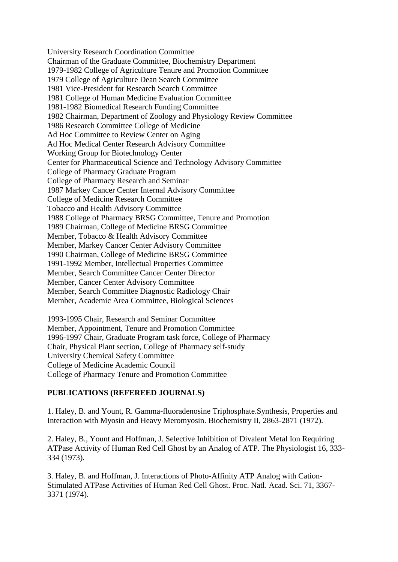University Research Coordination Committee Chairman of the Graduate Committee, Biochemistry Department 1979-1982 College of Agriculture Tenure and Promotion Committee 1979 College of Agriculture Dean Search Committee 1981 Vice-President for Research Search Committee 1981 College of Human Medicine Evaluation Committee 1981-1982 Biomedical Research Funding Committee 1982 Chairman, Department of Zoology and Physiology Review Committee 1986 Research Committee College of Medicine Ad Hoc Committee to Review Center on Aging Ad Hoc Medical Center Research Advisory Committee Working Group for Biotechnology Center Center for Pharmaceutical Science and Technology Advisory Committee College of Pharmacy Graduate Program College of Pharmacy Research and Seminar 1987 Markey Cancer Center Internal Advisory Committee College of Medicine Research Committee Tobacco and Health Advisory Committee 1988 College of Pharmacy BRSG Committee, Tenure and Promotion 1989 Chairman, College of Medicine BRSG Committee Member, Tobacco & Health Advisory Committee Member, Markey Cancer Center Advisory Committee 1990 Chairman, College of Medicine BRSG Committee 1991-1992 Member, Intellectual Properties Committee Member, Search Committee Cancer Center Director Member, Cancer Center Advisory Committee Member, Search Committee Diagnostic Radiology Chair Member, Academic Area Committee, Biological Sciences

1993-1995 Chair, Research and Seminar Committee Member, Appointment, Tenure and Promotion Committee 1996-1997 Chair, Graduate Program task force, College of Pharmacy Chair, Physical Plant section, College of Pharmacy self-study University Chemical Safety Committee College of Medicine Academic Council College of Pharmacy Tenure and Promotion Committee

#### **PUBLICATIONS (REFEREED JOURNALS)**

1. Haley, B. and Yount, R. Gamma-fluoradenosine Triphosphate.Synthesis, Properties and Interaction with Myosin and Heavy Meromyosin. Biochemistry II, 2863-2871 (1972).

2. Haley, B., Yount and Hoffman, J. Selective Inhibition of Divalent Metal Ion Requiring ATPase Activity of Human Red Cell Ghost by an Analog of ATP. The Physiologist 16, 333- 334 (1973).

3. Haley, B. and Hoffman, J. Interactions of Photo-Affinity ATP Analog with Cation-Stimulated ATPase Activities of Human Red Cell Ghost. Proc. Natl. Acad. Sci. 71, 3367- 3371 (1974).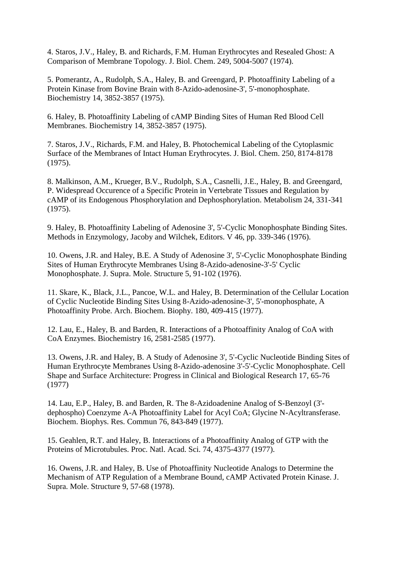4. Staros, J.V., Haley, B. and Richards, F.M. Human Erythrocytes and Resealed Ghost: A Comparison of Membrane Topology. J. Biol. Chem. 249, 5004-5007 (1974).

5. Pomerantz, A., Rudolph, S.A., Haley, B. and Greengard, P. Photoaffinity Labeling of a Protein Kinase from Bovine Brain with 8-Azido-adenosine-3', 5'-monophosphate. Biochemistry 14, 3852-3857 (1975).

6. Haley, B. Photoaffinity Labeling of cAMP Binding Sites of Human Red Blood Cell Membranes. Biochemistry 14, 3852-3857 (1975).

7. Staros, J.V., Richards, F.M. and Haley, B. Photochemical Labeling of the Cytoplasmic Surface of the Membranes of Intact Human Erythrocytes. J. Biol. Chem. 250, 8174-8178 (1975).

8. Malkinson, A.M., Krueger, B.V., Rudolph, S.A., Casnelli, J.E., Haley, B. and Greengard, P. Widespread Occurence of a Specific Protein in Vertebrate Tissues and Regulation by cAMP of its Endogenous Phosphorylation and Dephosphorylation. Metabolism 24, 331-341 (1975).

9. Haley, B. Photoaffinity Labeling of Adenosine 3', 5'-Cyclic Monophosphate Binding Sites. Methods in Enzymology, Jacoby and Wilchek, Editors. V 46, pp. 339-346 (1976).

10. Owens, J.R. and Haley, B.E. A Study of Adenosine 3', 5'-Cyclic Monophosphate Binding Sites of Human Erythrocyte Membranes Using 8-Azido-adenosine-3'-5' Cyclic Monophosphate. J. Supra. Mole. Structure 5, 91-102 (1976).

11. Skare, K., Black, J.L., Pancoe, W.L. and Haley, B. Determination of the Cellular Location of Cyclic Nucleotide Binding Sites Using 8-Azido-adenosine-3', 5'-monophosphate, A Photoaffinity Probe. Arch. Biochem. Biophy. 180, 409-415 (1977).

12. Lau, E., Haley, B. and Barden, R. Interactions of a Photoaffinity Analog of CoA with CoA Enzymes. Biochemistry 16, 2581-2585 (1977).

13. Owens, J.R. and Haley, B. A Study of Adenosine 3', 5'-Cyclic Nucleotide Binding Sites of Human Erythrocyte Membranes Using 8-Azido-adenosine 3'-5'-Cyclic Monophosphate. Cell Shape and Surface Architecture: Progress in Clinical and Biological Research 17, 65-76 (1977)

14. Lau, E.P., Haley, B. and Barden, R. The 8-Azidoadenine Analog of S-Benzoyl (3' dephospho) Coenzyme A-A Photoaffinity Label for Acyl CoA; Glycine N-Acyltransferase. Biochem. Biophys. Res. Commun 76, 843-849 (1977).

15. Geahlen, R.T. and Haley, B. Interactions of a Photoaffinity Analog of GTP with the Proteins of Microtubules. Proc. Natl. Acad. Sci. 74, 4375-4377 (1977).

16. Owens, J.R. and Haley, B. Use of Photoaffinity Nucleotide Analogs to Determine the Mechanism of ATP Regulation of a Membrane Bound, cAMP Activated Protein Kinase. J. Supra. Mole. Structure 9, 57-68 (1978).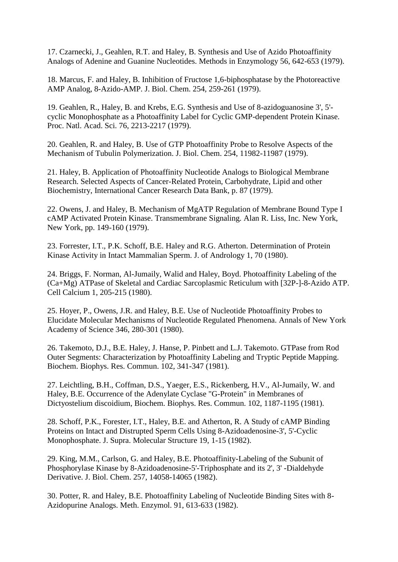17. Czarnecki, J., Geahlen, R.T. and Haley, B. Synthesis and Use of Azido Photoaffinity Analogs of Adenine and Guanine Nucleotides. Methods in Enzymology 56, 642-653 (1979).

18. Marcus, F. and Haley, B. Inhibition of Fructose 1,6-biphosphatase by the Photoreactive AMP Analog, 8-Azido-AMP. J. Biol. Chem. 254, 259-261 (1979).

19. Geahlen, R., Haley, B. and Krebs, E.G. Synthesis and Use of 8-azidoguanosine 3', 5' cyclic Monophosphate as a Photoaffinity Label for Cyclic GMP-dependent Protein Kinase. Proc. Natl. Acad. Sci. 76, 2213-2217 (1979).

20. Geahlen, R. and Haley, B. Use of GTP Photoaffinity Probe to Resolve Aspects of the Mechanism of Tubulin Polymerization. J. Biol. Chem. 254, 11982-11987 (1979).

21. Haley, B. Application of Photoaffinity Nucleotide Analogs to Biological Membrane Research. Selected Aspects of Cancer-Related Protein, Carbohydrate, Lipid and other Biochemistry, International Cancer Research Data Bank, p. 87 (1979).

22. Owens, J. and Haley, B. Mechanism of MgATP Regulation of Membrane Bound Type I cAMP Activated Protein Kinase. Transmembrane Signaling. Alan R. Liss, Inc. New York, New York, pp. 149-160 (1979).

23. Forrester, I.T., P.K. Schoff, B.E. Haley and R.G. Atherton. Determination of Protein Kinase Activity in Intact Mammalian Sperm. J. of Andrology 1, 70 (1980).

24. Briggs, F. Norman, Al-Jumaily, Walid and Haley, Boyd. Photoaffinity Labeling of the (Ca+Mg) ATPase of Skeletal and Cardiac Sarcoplasmic Reticulum with [32P-]-8-Azido ATP. Cell Calcium 1, 205-215 (1980).

25. Hoyer, P., Owens, J.R. and Haley, B.E. Use of Nucleotide Photoaffinity Probes to Elucidate Molecular Mechanisms of Nucleotide Regulated Phenomena. Annals of New York Academy of Science 346, 280-301 (1980).

26. Takemoto, D.J., B.E. Haley, J. Hanse, P. Pinbett and L.J. Takemoto. GTPase from Rod Outer Segments: Characterization by Photoaffinity Labeling and Tryptic Peptide Mapping. Biochem. Biophys. Res. Commun. 102, 341-347 (1981).

27. Leichtling, B.H., Coffman, D.S., Yaeger, E.S., Rickenberg, H.V., Al-Jumaily, W. and Haley, B.E. Occurrence of the Adenylate Cyclase "G-Protein" in Membranes of Dictyostelium discoidium, Biochem. Biophys. Res. Commun. 102, 1187-1195 (1981).

28. Schoff, P.K., Forester, I.T., Haley, B.E. and Atherton, R. A Study of cAMP Binding Proteins on Intact and Distrupted Sperm Cells Using 8-Azidoadenosine-3', 5'-Cyclic Monophosphate. J. Supra. Molecular Structure 19, 1-15 (1982).

29. King, M.M., Carlson, G. and Haley, B.E. Photoaffinity-Labeling of the Subunit of Phosphorylase Kinase by 8-Azidoadenosine-5'-Triphosphate and its 2', 3' -Dialdehyde Derivative. J. Biol. Chem. 257, 14058-14065 (1982).

30. Potter, R. and Haley, B.E. Photoaffinity Labeling of Nucleotide Binding Sites with 8- Azidopurine Analogs. Meth. Enzymol. 91, 613-633 (1982).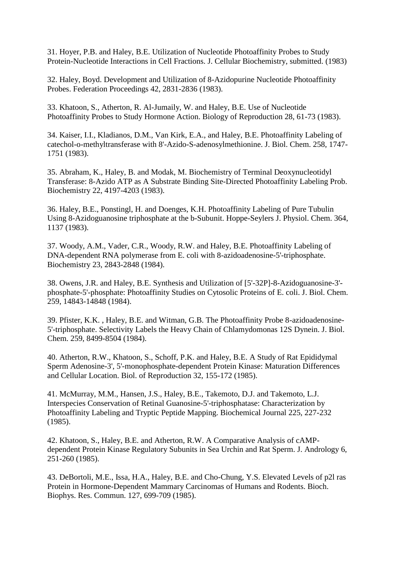31. Hoyer, P.B. and Haley, B.E. Utilization of Nucleotide Photoaffinity Probes to Study Protein-Nucleotide Interactions in Cell Fractions. J. Cellular Biochemistry, submitted. (1983)

32. Haley, Boyd. Development and Utilization of 8-Azidopurine Nucleotide Photoaffinity Probes. Federation Proceedings 42, 2831-2836 (1983).

33. Khatoon, S., Atherton, R. Al-Jumaily, W. and Haley, B.E. Use of Nucleotide Photoaffinity Probes to Study Hormone Action. Biology of Reproduction 28, 61-73 (1983).

34. Kaiser, I.I., Kladianos, D.M., Van Kirk, E.A., and Haley, B.E. Photoaffinity Labeling of catechol-o-methyltransferase with 8'-Azido-S-adenosylmethionine. J. Biol. Chem. 258, 1747- 1751 (1983).

35. Abraham, K., Haley, B. and Modak, M. Biochemistry of Terminal Deoxynucleotidyl Transferase: 8-Azido ATP as A Substrate Binding Site-Directed Photoaffinity Labeling Prob. Biochemistry 22, 4197-4203 (1983).

36. Haley, B.E., Ponstingl, H. and Doenges, K.H. Photoaffinity Labeling of Pure Tubulin Using 8-Azidoguanosine triphosphate at the b-Subunit. Hoppe-Seylers J. Physiol. Chem. 364, 1137 (1983).

37. Woody, A.M., Vader, C.R., Woody, R.W. and Haley, B.E. Photoaffinity Labeling of DNA-dependent RNA polymerase from E. coli with 8-azidoadenosine-5'-triphosphate. Biochemistry 23, 2843-2848 (1984).

38. Owens, J.R. and Haley, B.E. Synthesis and Utilization of [5'-32P]-8-Azidoguanosine-3' phosphate-5'-phosphate: Photoaffinity Studies on Cytosolic Proteins of E. coli. J. Biol. Chem. 259, 14843-14848 (1984).

39. Pfister, K.K. , Haley, B.E. and Witman, G.B. The Photoaffinity Probe 8-azidoadenosine-5'-triphosphate. Selectivity Labels the Heavy Chain of Chlamydomonas 12S Dynein. J. Biol. Chem. 259, 8499-8504 (1984).

40. Atherton, R.W., Khatoon, S., Schoff, P.K. and Haley, B.E. A Study of Rat Epididymal Sperm Adenosine-3', 5'-monophosphate-dependent Protein Kinase: Maturation Differences and Cellular Location. Biol. of Reproduction 32, 155-172 (1985).

41. McMurray, M.M., Hansen, J.S., Haley, B.E., Takemoto, D.J. and Takemoto, L.J. Interspecies Conservation of Retinal Guanosine-5'-triphosphatase: Characterization by Photoaffinity Labeling and Tryptic Peptide Mapping. Biochemical Journal 225, 227-232 (1985).

42. Khatoon, S., Haley, B.E. and Atherton, R.W. A Comparative Analysis of cAMPdependent Protein Kinase Regulatory Subunits in Sea Urchin and Rat Sperm. J. Andrology 6, 251-260 (1985).

43. DeBortoli, M.E., Issa, H.A., Haley, B.E. and Cho-Chung, Y.S. Elevated Levels of p2l ras Protein in Hormone-Dependent Mammary Carcinomas of Humans and Rodents. Bioch. Biophys. Res. Commun. 127, 699-709 (1985).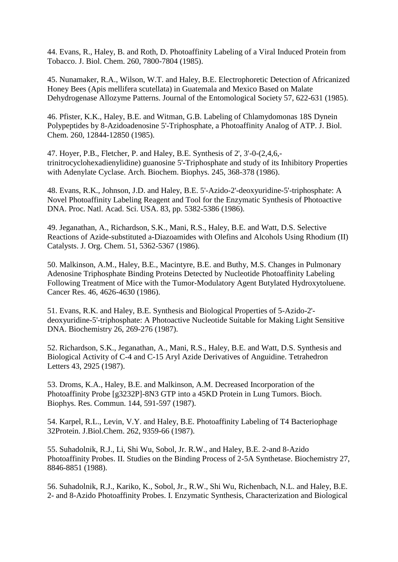44. Evans, R., Haley, B. and Roth, D. Photoaffinity Labeling of a Viral Induced Protein from Tobacco. J. Biol. Chem. 260, 7800-7804 (1985).

45. Nunamaker, R.A., Wilson, W.T. and Haley, B.E. Electrophoretic Detection of Africanized Honey Bees (Apis mellifera scutellata) in Guatemala and Mexico Based on Malate Dehydrogenase Allozyme Patterns. Journal of the Entomological Society 57, 622-631 (1985).

46. Pfister, K.K., Haley, B.E. and Witman, G.B. Labeling of Chlamydomonas 18S Dynein Polypeptides by 8-Azidoadenosine 5'-Triphosphate, a Photoaffinity Analog of ATP. J. Biol. Chem. 260, 12844-12850 (1985).

47. Hoyer, P.B., Fletcher, P. and Haley, B.E. Synthesis of 2', 3'-0-(2,4,6, trinitrocyclohexadienylidine) guanosine 5'-Triphosphate and study of its Inhibitory Properties with Adenylate Cyclase. Arch. Biochem. Biophys. 245, 368-378 (1986).

48. Evans, R.K., Johnson, J.D. and Haley, B.E. 5'-Azido-2'-deoxyuridine-5'-triphosphate: A Novel Photoaffinity Labeling Reagent and Tool for the Enzymatic Synthesis of Photoactive DNA. Proc. Natl. Acad. Sci. USA. 83, pp. 5382-5386 (1986).

49. Jeganathan, A., Richardson, S.K., Mani, R.S., Haley, B.E. and Watt, D.S. Selective Reactions of Azide-substituted a-Diazoamides with Olefins and Alcohols Using Rhodium (II) Catalysts. J. Org. Chem. 51, 5362-5367 (1986).

50. Malkinson, A.M., Haley, B.E., Macintyre, B.E. and Buthy, M.S. Changes in Pulmonary Adenosine Triphosphate Binding Proteins Detected by Nucleotide Photoaffinity Labeling Following Treatment of Mice with the Tumor-Modulatory Agent Butylated Hydroxytoluene. Cancer Res. 46, 4626-4630 (1986).

51. Evans, R.K. and Haley, B.E. Synthesis and Biological Properties of 5-Azido-2' deoxyuridine-5'-triphosphate: A Photoactive Nucleotide Suitable for Making Light Sensitive DNA. Biochemistry 26, 269-276 (1987).

52. Richardson, S.K., Jeganathan, A., Mani, R.S., Haley, B.E. and Watt, D.S. Synthesis and Biological Activity of C-4 and C-15 Aryl Azide Derivatives of Anguidine. Tetrahedron Letters 43, 2925 (1987).

53. Droms, K.A., Haley, B.E. and Malkinson, A.M. Decreased Incorporation of the Photoaffinity Probe [g3232P]-8N3 GTP into a 45KD Protein in Lung Tumors. Bioch. Biophys. Res. Commun. 144, 591-597 (1987).

54. Karpel, R.L., Levin, V.Y. and Haley, B.E. Photoaffinity Labeling of T4 Bacteriophage 32Protein. J.Biol.Chem. 262, 9359-66 (1987).

55. Suhadolnik, R.J., Li, Shi Wu, Sobol, Jr. R.W., and Haley, B.E. 2-and 8-Azido Photoaffinity Probes. II. Studies on the Binding Process of 2-5A Synthetase. Biochemistry 27, 8846-8851 (1988).

56. Suhadolnik, R.J., Kariko, K., Sobol, Jr., R.W., Shi Wu, Richenbach, N.L. and Haley, B.E. 2- and 8-Azido Photoaffinity Probes. I. Enzymatic Synthesis, Characterization and Biological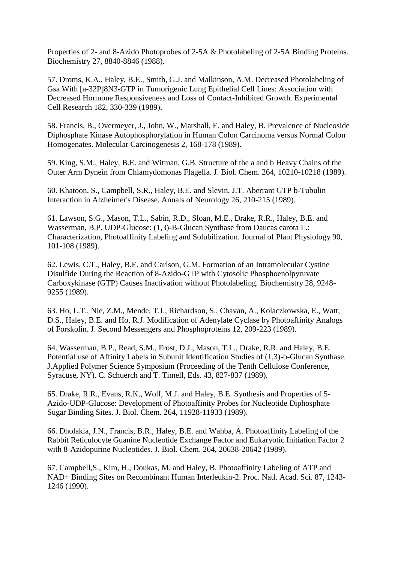Properties of 2- and 8-Azido Photoprobes of 2-5A & Photolabeling of 2-5A Binding Proteins. Biochemistry 27, 8840-8846 (1988).

57. Droms, K.A., Haley, B.E., Smith, G.J. and Malkinson, A.M. Decreased Photolabeling of Gsa With [a-32P]8N3-GTP in Tumorigenic Lung Epithelial Cell Lines: Association with Decreased Hormone Responsiveness and Loss of Contact-Inhibited Growth. Experimental Cell Research 182, 330-339 (1989).

58. Francis, B., Overmeyer, J., John, W., Marshall, E. and Haley, B. Prevalence of Nucleoside Diphosphate Kinase Autophosphorylation in Human Colon Carcinoma versus Normal Colon Homogenates. Molecular Carcinogenesis 2, 168-178 (1989).

59. King, S.M., Haley, B.E. and Witman, G.B. Structure of the a and b Heavy Chains of the Outer Arm Dynein from Chlamydomonas Flagella. J. Biol. Chem. 264, 10210-10218 (1989).

60. Khatoon, S., Campbell, S.R., Haley, B.E. and Slevin, J.T. Aberrant GTP b-Tubulin Interaction in Alzheimer's Disease. Annals of Neurology 26, 210-215 (1989).

61. Lawson, S.G., Mason, T.L., Sabin, R.D., Sloan, M.E., Drake, R.R., Haley, B.E. and Wasserman, B.P. UDP-Glucose: (1,3)-B-Glucan Synthase from Daucas carota L.: Characterization, Photoaffinity Labeling and Solubilization. Journal of Plant Physiology 90, 101-108 (1989).

62. Lewis, C.T., Haley, B.E. and Carlson, G.M. Formation of an Intramolecular Cystine Disulfide During the Reaction of 8-Azido-GTP with Cytosolic Phosphoenolpyruvate Carboxykinase (GTP) Causes Inactivation without Photolabeling. Biochemistry 28, 9248- 9255 (1989).

63. Ho, L.T., Nie, Z.M., Mende, T.J., Richardson, S., Chavan, A., Kolaczkowska, E., Watt, D.S., Haley, B.E. and Ho, R.J. Modification of Adenylate Cyclase by Photoaffinity Analogs of Forskolin. J. Second Messengers and Phosphoproteins 12, 209-223 (1989).

64. Wasserman, B.P., Read, S.M., Frost, D.J., Mason, T.L., Drake, R.R. and Haley, B.E. Potential use of Affinity Labels in Subunit Identification Studies of (1,3)-b-Glucan Synthase. J.Applied Polymer Science Symposium (Proceeding of the Tenth Cellulose Conference, Syracuse, NY). C. Schuerch and T. Timell, Eds. 43, 827-837 (1989).

65. Drake, R.R., Evans, R.K., Wolf, M.J. and Haley, B.E. Synthesis and Properties of 5- Azido-UDP-Glucose: Development of Photoaffinity Probes for Nucleotide Diphosphate Sugar Binding Sites. J. Biol. Chem. 264, 11928-11933 (1989).

66. Dholakia, J.N., Francis, B.R., Haley, B.E. and Wahba, A. Photoaffinity Labeling of the Rabbit Reticulocyte Guanine Nucleotide Exchange Factor and Eukaryotic Initiation Factor 2 with 8-Azidopurine Nucleotides. J. Biol. Chem. 264, 20638-20642 (1989).

67. Campbell,S., Kim, H., Doukas, M. and Haley, B. Photoaffinity Labeling of ATP and NAD+ Binding Sites on Recombinant Human Interleukin-2. Proc. Natl. Acad. Sci. 87, 1243- 1246 (1990).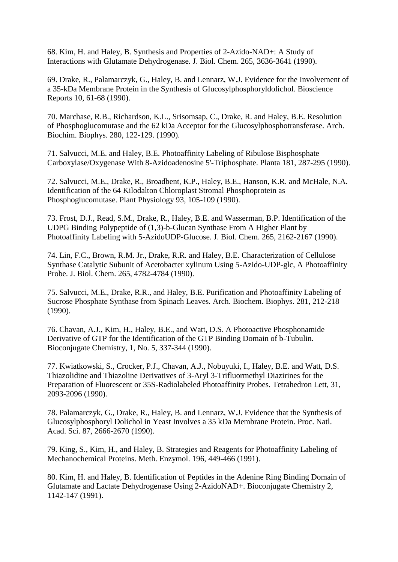68. Kim, H. and Haley, B. Synthesis and Properties of 2-Azido-NAD+: A Study of Interactions with Glutamate Dehydrogenase. J. Biol. Chem. 265, 3636-3641 (1990).

69. Drake, R., Palamarczyk, G., Haley, B. and Lennarz, W.J. Evidence for the Involvement of a 35-kDa Membrane Protein in the Synthesis of Glucosylphosphoryldolichol. Bioscience Reports 10, 61-68 (1990).

70. Marchase, R.B., Richardson, K.L., Srisomsap, C., Drake, R. and Haley, B.E. Resolution of Phosphoglucomutase and the 62 kDa Acceptor for the Glucosylphosphotransferase. Arch. Biochim. Biophys. 280, 122-129. (1990).

71. Salvucci, M.E. and Haley, B.E. Photoaffinity Labeling of Ribulose Bisphosphate Carboxylase/Oxygenase With 8-Azidoadenosine 5'-Triphosphate. Planta 181, 287-295 (1990).

72. Salvucci, M.E., Drake, R., Broadbent, K.P., Haley, B.E., Hanson, K.R. and McHale, N.A. Identification of the 64 Kilodalton Chloroplast Stromal Phosphoprotein as Phosphoglucomutase. Plant Physiology 93, 105-109 (1990).

73. Frost, D.J., Read, S.M., Drake, R., Haley, B.E. and Wasserman, B.P. Identification of the UDPG Binding Polypeptide of (1,3)-b-Glucan Synthase From A Higher Plant by Photoaffinity Labeling with 5-AzidoUDP-Glucose. J. Biol. Chem. 265, 2162-2167 (1990).

74. Lin, F.C., Brown, R.M. Jr., Drake, R.R. and Haley, B.E. Characterization of Cellulose Synthase Catalytic Subunit of Acetobacter xylinum Using 5-Azido-UDP-glc, A Photoaffinity Probe. J. Biol. Chem. 265, 4782-4784 (1990).

75. Salvucci, M.E., Drake, R.R., and Haley, B.E. Purification and Photoaffinity Labeling of Sucrose Phosphate Synthase from Spinach Leaves. Arch. Biochem. Biophys. 281, 212-218 (1990).

76. Chavan, A.J., Kim, H., Haley, B.E., and Watt, D.S. A Photoactive Phosphonamide Derivative of GTP for the Identification of the GTP Binding Domain of b-Tubulin. Bioconjugate Chemistry, 1, No. 5, 337-344 (1990).

77. Kwiatkowski, S., Crocker, P.J., Chavan, A.J., Nobuyuki, I., Haley, B.E. and Watt, D.S. Thiazolidine and Thiazoline Derivatives of 3-Aryl 3-Trifluormethyl Diazirines for the Preparation of Fluorescent or 35S-Radiolabeled Photoaffinity Probes. Tetrahedron Lett, 31, 2093-2096 (1990).

78. Palamarczyk, G., Drake, R., Haley, B. and Lennarz, W.J. Evidence that the Synthesis of Glucosylphosphoryl Dolichol in Yeast Involves a 35 kDa Membrane Protein. Proc. Natl. Acad. Sci. 87, 2666-2670 (1990).

79. King, S., Kim, H., and Haley, B. Strategies and Reagents for Photoaffinity Labeling of Mechanochemical Proteins. Meth. Enzymol. 196, 449-466 (1991).

80. Kim, H. and Haley, B. Identification of Peptides in the Adenine Ring Binding Domain of Glutamate and Lactate Dehydrogenase Using 2-AzidoNAD+. Bioconjugate Chemistry 2, 1142-147 (1991).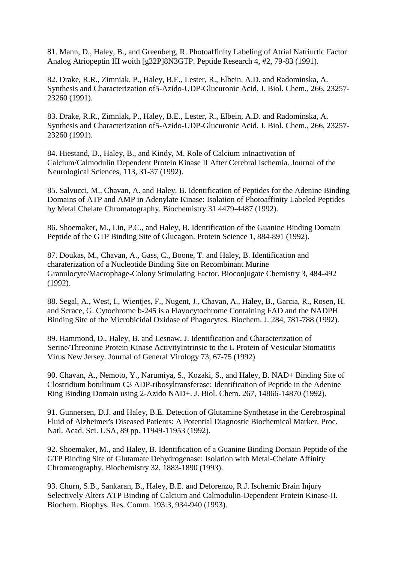81. Mann, D., Haley, B., and Greenberg, R. Photoaffinity Labeling of Atrial Natriurtic Factor Analog Atriopeptin III woith [g32P]8N3GTP. Peptide Research 4, #2, 79-83 (1991).

82. Drake, R.R., Zimniak, P., Haley, B.E., Lester, R., Elbein, A.D. and Radominska, A. Synthesis and Characterization of5-Azido-UDP-Glucuronic Acid. J. Biol. Chem., 266, 23257- 23260 (1991).

83. Drake, R.R., Zimniak, P., Haley, B.E., Lester, R., Elbein, A.D. and Radominska, A. Synthesis and Characterization of5-Azido-UDP-Glucuronic Acid. J. Biol. Chem., 266, 23257- 23260 (1991).

84. Hiestand, D., Haley, B., and Kindy, M. Role of Calcium inInactivation of Calcium/Calmodulin Dependent Protein Kinase II After Cerebral Ischemia. Journal of the Neurological Sciences, 113, 31-37 (1992).

85. Salvucci, M., Chavan, A. and Haley, B. Identification of Peptides for the Adenine Binding Domains of ATP and AMP in Adenylate Kinase: Isolation of Photoaffinity Labeled Peptides by Metal Chelate Chromatography. Biochemistry 31 4479-4487 (1992).

86. Shoemaker, M., Lin, P.C., and Haley, B. Identification of the Guanine Binding Domain Peptide of the GTP Binding Site of Glucagon. Protein Science 1, 884-891 (1992).

87. Doukas, M., Chavan, A., Gass, C., Boone, T. and Haley, B. Identification and charaterization of a Nucleotide Binding Site on Recombinant Murine Granulocyte/Macrophage-Colony Stimulating Factor. Bioconjugate Chemistry 3, 484-492 (1992).

88. Segal, A., West, I., Wientjes, F., Nugent, J., Chavan, A., Haley, B., Garcia, R., Rosen, H. and Scrace, G. Cytochrome b-245 is a Flavocytochrome Containing FAD and the NADPH Binding Site of the Microbicidal Oxidase of Phagocytes. Biochem. J. 284, 781-788 (1992).

89. Hammond, D., Haley, B. and Lesnaw, J. Identification and Characterization of Serine/Threonine Protein Kinase ActivityIntrinsic to the L Protein of Vesicular Stomatitis Virus New Jersey. Journal of General Virology 73, 67-75 (1992)

90. Chavan, A., Nemoto, Y., Narumiya, S., Kozaki, S., and Haley, B. NAD+ Binding Site of Clostridium botulinum C3 ADP-ribosyltransferase: Identification of Peptide in the Adenine Ring Binding Domain using 2-Azido NAD+. J. Biol. Chem. 267, 14866-14870 (1992).

91. Gunnersen, D.J. and Haley, B.E. Detection of Glutamine Synthetase in the Cerebrospinal Fluid of Alzheimer's Diseased Patients: A Potential Diagnostic Biochemical Marker. Proc. Natl. Acad. Sci. USA, 89 pp. 11949-11953 (1992).

92. Shoemaker, M., and Haley, B. Identification of a Guanine Binding Domain Peptide of the GTP Binding Site of Glutamate Dehydrogenase: Isolation with Metal-Chelate Affinity Chromatography. Biochemistry 32, 1883-1890 (1993).

93. Churn, S.B., Sankaran, B., Haley, B.E. and Delorenzo, R.J. Ischemic Brain Injury Selectively Alters ATP Binding of Calcium and Calmodulin-Dependent Protein Kinase-II. Biochem. Biophys. Res. Comm. 193:3, 934-940 (1993).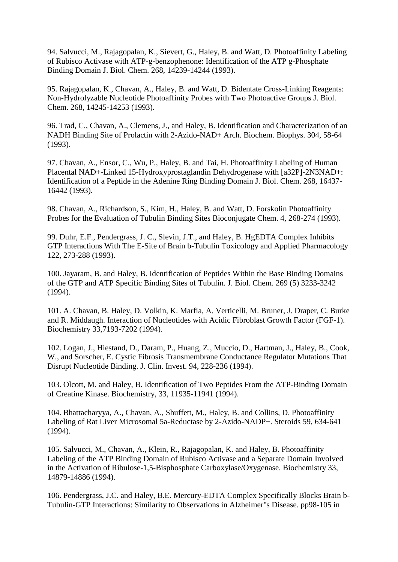94. Salvucci, M., Rajagopalan, K., Sievert, G., Haley, B. and Watt, D. Photoaffinity Labeling of Rubisco Activase with ATP-g-benzophenone: Identification of the ATP g-Phosphate Binding Domain J. Biol. Chem. 268, 14239-14244 (1993).

95. Rajagopalan, K., Chavan, A., Haley, B. and Watt, D. Bidentate Cross-Linking Reagents: Non-Hydrolyzable Nucleotide Photoaffinity Probes with Two Photoactive Groups J. Biol. Chem. 268, 14245-14253 (1993).

96. Trad, C., Chavan, A., Clemens, J., and Haley, B. Identification and Characterization of an NADH Binding Site of Prolactin with 2-Azido-NAD+ Arch. Biochem. Biophys. 304, 58-64 (1993).

97. Chavan, A., Ensor, C., Wu, P., Haley, B. and Tai, H. Photoaffinity Labeling of Human Placental NAD+-Linked 15-Hydroxyprostaglandin Dehydrogenase with [a32P]-2N3NAD+: Identification of a Peptide in the Adenine Ring Binding Domain J. Biol. Chem. 268, 16437- 16442 (1993).

98. Chavan, A., Richardson, S., Kim, H., Haley, B. and Watt, D. Forskolin Photoaffinity Probes for the Evaluation of Tubulin Binding Sites Bioconjugate Chem. 4, 268-274 (1993).

99. Duhr, E.F., Pendergrass, J. C., Slevin, J.T., and Haley, B. HgEDTA Complex Inhibits GTP Interactions With The E-Site of Brain b-Tubulin Toxicology and Applied Pharmacology 122, 273-288 (1993).

100. Jayaram, B. and Haley, B. Identification of Peptides Within the Base Binding Domains of the GTP and ATP Specific Binding Sites of Tubulin. J. Biol. Chem. 269 (5) 3233-3242 (1994).

101. A. Chavan, B. Haley, D. Volkin, K. Marfia, A. Verticelli, M. Bruner, J. Draper, C. Burke and R. Middaugh. Interaction of Nucleotides with Acidic Fibroblast Growth Factor (FGF-1). Biochemistry 33,7193-7202 (1994).

102. Logan, J., Hiestand, D., Daram, P., Huang, Z., Muccio, D., Hartman, J., Haley, B., Cook, W., and Sorscher, E. Cystic Fibrosis Transmembrane Conductance Regulator Mutations That Disrupt Nucleotide Binding. J. Clin. Invest. 94, 228-236 (1994).

103. Olcott, M. and Haley, B. Identification of Two Peptides From the ATP-Binding Domain of Creatine Kinase. Biochemistry, 33, 11935-11941 (1994).

104. Bhattacharyya, A., Chavan, A., Shuffett, M., Haley, B. and Collins, D. Photoaffinity Labeling of Rat Liver Microsomal 5a-Reductase by 2-Azido-NADP+. Steroids 59, 634-641 (1994).

105. Salvucci, M., Chavan, A., Klein, R., Rajagopalan, K. and Haley, B. Photoaffinity Labeling of the ATP Binding Domain of Rubisco Activase and a Separate Domain Involved in the Activation of Ribulose-1,5-Bisphosphate Carboxylase/Oxygenase. Biochemistry 33, 14879-14886 (1994).

106. Pendergrass, J.C. and Haley, B.E. Mercury-EDTA Complex Specifically Blocks Brain b-Tubulin-GTP Interactions: Similarity to Observations in Alzheimer"s Disease. pp98-105 in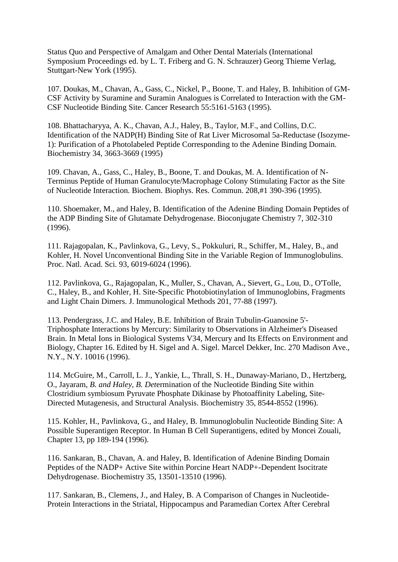Status Quo and Perspective of Amalgam and Other Dental Materials (International Symposium Proceedings ed. by L. T. Friberg and G. N. Schrauzer) Georg Thieme Verlag, Stuttgart-New York (1995).

107. Doukas, M., Chavan, A., Gass, C., Nickel, P., Boone, T. and Haley, B. Inhibition of GM-CSF Activity by Suramine and Suramin Analogues is Correlated to Interaction with the GM-CSF Nucleotide Binding Site. Cancer Research 55:5161-5163 (1995).

108. Bhattacharyya, A. K., Chavan, A.J., Haley, B., Taylor, M.F., and Collins, D.C. Identification of the NADP(H) Binding Site of Rat Liver Microsomal 5a-Reductase (Isozyme-1): Purification of a Photolabeled Peptide Corresponding to the Adenine Binding Domain. Biochemistry 34, 3663-3669 (1995)

109. Chavan, A., Gass, C., Haley, B., Boone, T. and Doukas, M. A. Identification of N-Terminus Peptide of Human Granulocyte/Macrophage Colony Stimulating Factor as the Site of Nucleotide Interaction. Biochem. Biophys. Res. Commun. 208,#1 390-396 (1995).

110. Shoemaker, M., and Haley, B. Identification of the Adenine Binding Domain Peptides of the ADP Binding Site of Glutamate Dehydrogenase. Bioconjugate Chemistry 7, 302-310 (1996).

111. Rajagopalan, K., Pavlinkova, G., Levy, S., Pokkuluri, R., Schiffer, M., Haley, B., and Kohler, H. Novel Unconventional Binding Site in the Variable Region of Immunoglobulins. Proc. Natl. Acad. Sci. 93, 6019-6024 (1996).

112. Pavlinkova, G., Rajagopalan, K., Muller, S., Chavan, A., Sievert, G., Lou, D., O'Tolle, C., Haley, B., and Kohler, H. Site-Specific Photobiotinylation of Immunoglobins, Fragments and Light Chain Dimers. J. Immunological Methods 201, 77-88 (1997).

113. Pendergrass, J.C. and Haley, B.E. Inhibition of Brain Tubulin-Guanosine 5'- Triphosphate Interactions by Mercury: Similarity to Observations in Alzheimer's Diseased Brain. In Metal Ions in Biological Systems V34, Mercury and Its Effects on Environment and Biology, Chapter 16. Edited by H. Sigel and A. Sigel. Marcel Dekker, Inc. 270 Madison Ave., N.Y., N.Y. 10016 (1996).

114. McGuire, M., Carroll, L. J., Yankie, L., Thrall, S. H., Dunaway-Mariano, D., Hertzberg, O., Jayaram, *B. and Haley, B. Det*ermination of the Nucleotide Binding Site within Clostridium symbiosum Pyruvate Phosphate Dikinase by Photoaffinity Labeling, Site-Directed Mutagenesis, and Structural Analysis. Biochemistry 35, 8544-8552 (1996).

115. Kohler, H., Pavlinkova, G., and Haley, B. Immunoglobulin Nucleotide Binding Site: A Possible Superantigen Receptor. In Human B Cell Superantigens, edited by Moncei Zouali, Chapter 13, pp 189-194 (1996).

116. Sankaran, B., Chavan, A. and Haley, B. Identification of Adenine Binding Domain Peptides of the NADP+ Active Site within Porcine Heart NADP+-Dependent Isocitrate Dehydrogenase. Biochemistry 35, 13501-13510 (1996).

117. Sankaran, B., Clemens, J., and Haley, B. A Comparison of Changes in Nucleotide-Protein Interactions in the Striatal, Hippocampus and Paramedian Cortex After Cerebral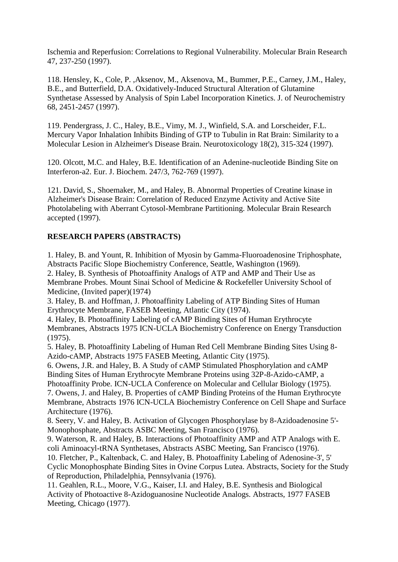Ischemia and Reperfusion: Correlations to Regional Vulnerability. Molecular Brain Research 47, 237-250 (1997).

118. Hensley, K., Cole, P. ,Aksenov, M., Aksenova, M., Bummer, P.E., Carney, J.M., Haley, B.E., and Butterfield, D.A. Oxidatively-Induced Structural Alteration of Glutamine Synthetase Assessed by Analysis of Spin Label Incorporation Kinetics. J. of Neurochemistry 68, 2451-2457 (1997).

119. Pendergrass, J. C., Haley, B.E., Vimy, M. J., Winfield, S.A. and Lorscheider, F.L. Mercury Vapor Inhalation Inhibits Binding of GTP to Tubulin in Rat Brain: Similarity to a Molecular Lesion in Alzheimer's Disease Brain. Neurotoxicology 18(2), 315-324 (1997).

120. Olcott, M.C. and Haley, B.E. Identification of an Adenine-nucleotide Binding Site on Interferon-a2. Eur. J. Biochem. 247/3, 762-769 (1997).

121. David, S., Shoemaker, M., and Haley, B. Abnormal Properties of Creatine kinase in Alzheimer's Disease Brain: Correlation of Reduced Enzyme Activity and Active Site Photolabeling with Aberrant Cytosol-Membrane Partitioning. Molecular Brain Research accepted (1997).

# **RESEARCH PAPERS (ABSTRACTS)**

1. Haley, B. and Yount, R. Inhibition of Myosin by Gamma-Fluoroadenosine Triphosphate, Abstracts Pacific Slope Biochemistry Conference, Seattle, Washington (1969).

2. Haley, B. Synthesis of Photoaffinity Analogs of ATP and AMP and Their Use as Membrane Probes. Mount Sinai School of Medicine & Rockefeller University School of Medicine, (Invited paper)(1974)

3. Haley, B. and Hoffman, J. Photoaffinity Labeling of ATP Binding Sites of Human Erythrocyte Membrane, FASEB Meeting, Atlantic City (1974).

4. Haley, B. Photoaffinity Labeling of cAMP Binding Sites of Human Erythrocyte Membranes, Abstracts 1975 ICN-UCLA Biochemistry Conference on Energy Transduction (1975).

5. Haley, B. Photoaffinity Labeling of Human Red Cell Membrane Binding Sites Using 8- Azido-cAMP, Abstracts 1975 FASEB Meeting, Atlantic City (1975).

6. Owens, J.R. and Haley, B. A Study of cAMP Stimulated Phosphorylation and cAMP Binding Sites of Human Erythrocyte Membrane Proteins using 32P-8-Azido-cAMP, a Photoaffinity Probe. ICN-UCLA Conference on Molecular and Cellular Biology (1975).

7. Owens, J. and Haley, B. Properties of cAMP Binding Proteins of the Human Erythrocyte Membrane, Abstracts 1976 ICN-UCLA Biochemistry Conference on Cell Shape and Surface Architecture (1976).

8. Seery, V. and Haley, B. Activation of Glycogen Phosphorylase by 8-Azidoadenosine 5'- Monophosphate, Abstracts ASBC Meeting, San Francisco (1976).

9. Waterson, R. and Haley, B. Interactions of Photoaffinity AMP and ATP Analogs with E. coli Aminoacyl-tRNA Synthetases, Abstracts ASBC Meeting, San Francisco (1976).

10. Fletcher, P., Kaltenback, C. and Haley, B. Photoaffinity Labeling of Adenosine-3', 5' Cyclic Monophosphate Binding Sites in Ovine Corpus Lutea. Abstracts, Society for the Study of Reproduction, Philadelphia, Pennsylvania (1976).

11. Geahlen, R.L., Moore, V.G., Kaiser, I.I. and Haley, B.E. Synthesis and Biological Activity of Photoactive 8-Azidoguanosine Nucleotide Analogs. Abstracts, 1977 FASEB Meeting, Chicago (1977).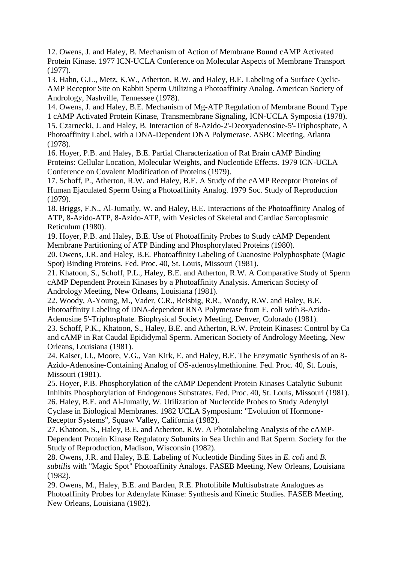12. Owens, J. and Haley, B. Mechanism of Action of Membrane Bound cAMP Activated Protein Kinase. 1977 ICN-UCLA Conference on Molecular Aspects of Membrane Transport (1977).

13. Hahn, G.L., Metz, K.W., Atherton, R.W. and Haley, B.E. Labeling of a Surface Cyclic-AMP Receptor Site on Rabbit Sperm Utilizing a Photoaffinity Analog. American Society of Andrology, Nashville, Tennessee (1978).

14. Owens, J. and Haley, B.E. Mechanism of Mg-ATP Regulation of Membrane Bound Type 1 cAMP Activated Protein Kinase, Transmembrane Signaling, ICN-UCLA Symposia (1978). 15. Czarnecki, J. and Haley, B. Interaction of 8-Azido-2'-Deoxyadenosine-5'-Triphosphate, A Photoaffinity Label, with a DNA-Dependent DNA Polymerase. ASBC Meeting, Atlanta (1978).

16. Hoyer, P.B. and Haley, B.E. Partial Characterization of Rat Brain cAMP Binding Proteins: Cellular Location, Molecular Weights, and Nucleotide Effects. 1979 ICN-UCLA Conference on Covalent Modification of Proteins (1979).

17. Schoff, P., Atherton, R.W. and Haley, B.E. A Study of the cAMP Receptor Proteins of Human Ejaculated Sperm Using a Photoaffinity Analog. 1979 Soc. Study of Reproduction (1979).

18. Briggs, F.N., Al-Jumaily, W. and Haley, B.E. Interactions of the Photoaffinity Analog of ATP, 8-Azido-ATP, 8-Azido-ATP, with Vesicles of Skeletal and Cardiac Sarcoplasmic Reticulum (1980).

19. Hoyer, P.B. and Haley, B.E. Use of Photoaffinity Probes to Study cAMP Dependent Membrane Partitioning of ATP Binding and Phosphorylated Proteins (1980).

20. Owens, J.R. and Haley, B.E. Photoaffinity Labeling of Guanosine Polyphosphate (Magic Spot) Binding Proteins. Fed. Proc. 40, St. Louis, Missouri (1981).

21. Khatoon, S., Schoff, P.L., Haley, B.E. and Atherton, R.W. A Comparative Study of Sperm cAMP Dependent Protein Kinases by a Photoaffinity Analysis. American Society of Andrology Meeting, New Orleans, Louisiana (1981).

22. Woody, A-Young, M., Vader, C.R., Reisbig, R.R., Woody, R.W. and Haley, B.E. Photoaffinity Labeling of DNA-dependent RNA Polymerase from E. coli with 8-Azido-Adenosine 5'-Triphosphate. Biophysical Society Meeting, Denver, Colorado (1981).

23. Schoff, P.K., Khatoon, S., Haley, B.E. and Atherton, R.W. Protein Kinases: Control by Ca and cAMP in Rat Caudal Epididymal Sperm. American Society of Andrology Meeting, New Orleans, Louisiana (1981).

24. Kaiser, I.I., Moore, V.G., Van Kirk, E. and Haley, B.E. The Enzymatic Synthesis of an 8- Azido-Adenosine-Containing Analog of OS-adenosylmethionine. Fed. Proc. 40, St. Louis, Missouri (1981).

25. Hoyer, P.B. Phosphorylation of the cAMP Dependent Protein Kinases Catalytic Subunit Inhibits Phosphorylation of Endogenous Substrates. Fed. Proc. 40, St. Louis, Missouri (1981). 26. Haley, B.E. and Al-Jumaily, W. Utilization of Nucleotide Probes to Study Adenylyl Cyclase in Biological Membranes. 1982 UCLA Symposium: "Evolution of Hormone-Receptor Systems", Squaw Valley, California (1982).

27. Khatoon, S., Haley, B.E. and Atherton, R.W. A Photolabeling Analysis of the cAMP-Dependent Protein Kinase Regulatory Subunits in Sea Urchin and Rat Sperm. Society for the Study of Reproduction, Madison, Wisconsin (1982).

28. Owens, J.R. and Haley, B.E. Labeling of Nucleotide Binding Sites in *E. col*i and *B. subtili*s with "Magic Spot" Photoaffinity Analogs. FASEB Meeting, New Orleans, Louisiana (1982).

29. Owens, M., Haley, B.E. and Barden, R.E. Photolibile Multisubstrate Analogues as Photoaffinity Probes for Adenylate Kinase: Synthesis and Kinetic Studies. FASEB Meeting, New Orleans, Louisiana (1982).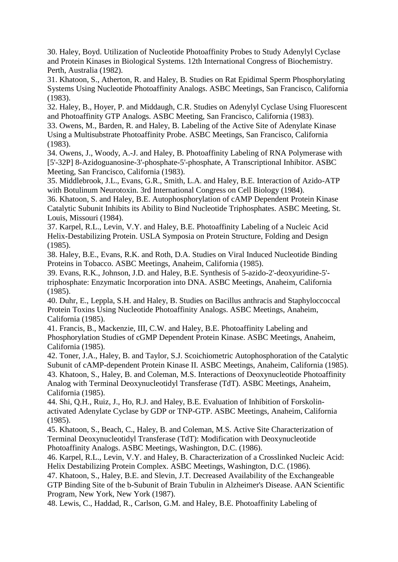30. Haley, Boyd. Utilization of Nucleotide Photoaffinity Probes to Study Adenylyl Cyclase and Protein Kinases in Biological Systems. 12th International Congress of Biochemistry. Perth, Australia (1982).

31. Khatoon, S., Atherton, R. and Haley, B. Studies on Rat Epidimal Sperm Phosphorylating Systems Using Nucleotide Photoaffinity Analogs. ASBC Meetings, San Francisco, California (1983).

32. Haley, B., Hoyer, P. and Middaugh, C.R. Studies on Adenylyl Cyclase Using Fluorescent and Photoaffinity GTP Analogs. ASBC Meeting, San Francisco, California (1983).

33. Owens, M., Barden, R. and Haley, B. Labeling of the Active Site of Adenylate Kinase Using a Multisubstrate Photoaffinity Probe. ASBC Meetings, San Francisco, California (1983).

34. Owens, J., Woody, A.-J. and Haley, B. Photoaffinity Labeling of RNA Polymerase with [5'-32P] 8-Azidoguanosine-3'-phosphate-5'-phosphate, A Transcriptional Inhibitor. ASBC Meeting, San Francisco, California (1983).

35. Middlebrook, J.L., Evans, G.R., Smith, L.A. and Haley, B.E. Interaction of Azido-ATP with Botulinum Neurotoxin. 3rd International Congress on Cell Biology (1984).

36. Khatoon, S. and Haley, B.E. Autophosphorylation of cAMP Dependent Protein Kinase Catalytic Subunit Inhibits its Ability to Bind Nucleotide Triphosphates. ASBC Meeting, St. Louis, Missouri (1984).

37. Karpel, R.L., Levin, V.Y. and Haley, B.E. Photoaffinity Labeling of a Nucleic Acid Helix-Destabilizing Protein. USLA Symposia on Protein Structure, Folding and Design (1985).

38. Haley, B.E., Evans, R.K. and Roth, D.A. Studies on Viral Induced Nucleotide Binding Proteins in Tobacco. ASBC Meetings, Anaheim, California (1985).

39. Evans, R.K., Johnson, J.D. and Haley, B.E. Synthesis of 5-azido-2'-deoxyuridine-5' triphosphate: Enzymatic Incorporation into DNA. ASBC Meetings, Anaheim, California (1985).

40. Duhr, E., Leppla, S.H. and Haley, B. Studies on Bacillus anthracis and Staphyloccoccal Protein Toxins Using Nucleotide Photoaffinity Analogs. ASBC Meetings, Anaheim, California (1985).

41. Francis, B., Mackenzie, III, C.W. and Haley, B.E. Photoaffinity Labeling and Phosphorylation Studies of cGMP Dependent Protein Kinase. ASBC Meetings, Anaheim, California (1985).

42. Toner, J.A., Haley, B. and Taylor, S.J. Scoichiometric Autophosphoration of the Catalytic Subunit of cAMP-dependent Protein Kinase II. ASBC Meetings, Anaheim, California (1985). 43. Khatoon, S., Haley, B. and Coleman, M.S. Interactions of Deoxynucleotide Photoaffinity Analog with Terminal Deoxynucleotidyl Transferase (TdT). ASBC Meetings, Anaheim, California (1985).

44. Shi, Q.H., Ruiz, J., Ho, R.J. and Haley, B.E. Evaluation of Inhibition of Forskolinactivated Adenylate Cyclase by GDP or TNP-GTP. ASBC Meetings, Anaheim, California (1985).

45. Khatoon, S., Beach, C., Haley, B. and Coleman, M.S. Active Site Characterization of Terminal Deoxynucleotidyl Transferase (TdT): Modification with Deoxynucleotide Photoaffinity Analogs. ASBC Meetings, Washington, D.C. (1986).

46. Karpel, R.L., Levin, V.Y. and Haley, B. Characterization of a Crosslinked Nucleic Acid: Helix Destabilizing Protein Complex. ASBC Meetings, Washington, D.C. (1986).

47. Khatoon, S., Haley, B.E. and Slevin, J.T. Decreased Availability of the Exchangeable GTP Binding Site of the b-Subunit of Brain Tubulin in Alzheimer's Disease. AAN Scientific Program, New York, New York (1987).

48. Lewis, C., Haddad, R., Carlson, G.M. and Haley, B.E. Photoaffinity Labeling of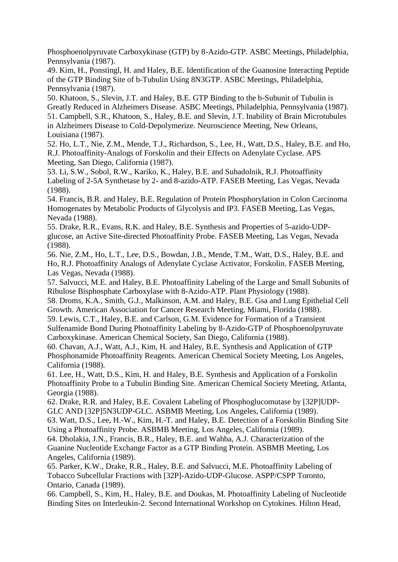Phosphoenolpyruvate Carboxykinase (GTP) by 8-Azido-GTP. ASBC Meetings, Philadelphia, Pennsylvania (1987).

49. Kim, H., Ponstingl, H. and Haley, B.E. Identification of the Guanosine Interacting Peptide of the GTP Binding Site of b-Tubulin Using 8N3GTP. ASBC Meetings, Philadelphia, Pennsylvania (1987).

50. Khatoon, S., Slevin, J.T. and Haley, B.E. GTP Binding to the b-Subunit of Tubulin is Greatly Reduced in Alzheimers Disease. ASBC Meetings, Philadelphia, Pennsylvania (1987). 51. Campbell, S.R., Khatoon, S., Haley, B.E. and Slevin, J.T. Inability of Brain Microtubules in Alzheimers Disease to Cold-Depolymerize. Neuroscience Meeting, New Orleans, Louisiana (1987).

52. Ho, L.T., Nie, Z.M., Mende, T.J., Richardson, S., Lee, H., Watt, D.S., Haley, B.E. and Ho, R.J. Photoaffinity-Analogs of Forskolin and their Effects on Adenylate Cyclase. APS Meeting, San Diego, California (1987).

53. Li, S.W., Sobol, R.W., Kariko, K., Haley, B.E. and Suhadolnik, R.J. Photoaffinity Labeling of 2-5A Synthetase by 2- and 8-azido-ATP. FASEB Meeting, Las Vegas, Nevada (1988).

54. Francis, B.R. and Haley, B.E. Regulation of Protein Phosphorylation in Colon Carcinoma Homogenates by Metabolic Products of Glycolysis and IP3. FASEB Meeting, Las Vegas, Nevada (1988).

55. Drake, R.R., Evans, R.K. and Haley, B.E. Synthesis and Properties of 5-azido-UDPglucose, an Active Site-directed Photoaffinity Probe. FASEB Meeting, Las Vegas, Nevada (1988).

56. Nie, Z.M., Ho, L.T., Lee, D.S., Bowdan, J.B., Mende, T.M., Watt, D.S., Haley, B.E. and Ho, R.J. Photoaffinity Analogs of Adenylate Cyclase Activator, Forskolin. FASEB Meeting, Las Vegas, Nevada (1988).

57. Salvucci, M.E. and Haley, B.E. Photoaffinity Labeling of the Large and Small Subunits of Ribulose Bisphosphate Carboxylase with 8-Azido-ATP. Plant Physiology (1988).

58. Droms, K.A., Smith, G.J., Malkinson, A.M. and Haley, B.E. Gsa and Lung Epithelial Cell Growth. American Association for Cancer Research Meeting, Miami, Florida (1988).

59. Lewis, C.T., Haley, B.E. and Carlson, G.M. Evidence for Formation of a Transient Sulfenamide Bond During Photoaffinity Labeling by 8-Azido-GTP of Phosphoenolpyruvate Carboxykinase. American Chemical Society, San Diego, California (1988).

60. Chavan, A.J., Watt, A.J., Kim, H. and Haley, B.E. Synthesis and Application of GTP Phosphonamide Photoaffinity Reagents. American Chemical Society Meeting, Los Angeles, California (1988).

61. Lee, H., Watt, D.S., Kim, H. and Haley, B.E. Synthesis and Application of a Forskolin Photoaffinity Probe to a Tubulin Binding Site. American Chemical Society Meeting, Atlanta, Georgia (1988).

62. Drake, R.R. and Haley, B.E. Covalent Labeling of Phosphoglucomutase by [32P]UDP-GLC AND [32P]5N3UDP-GLC. ASBMB Meeting, Los Angeles, California (1989).

63. Watt, D.S., Lee, H.-W., Kim, H.-T. and Haley, B.E. Detection of a Forskolin Binding Site Using a Photoaffinity Probe. ASBMB Meeting, Los Angeles, California (1989).

64. Dholakia, J.N., Francis, B.R., Haley, B.E. and Wahba, A.J. Characterization of the Guanine Nucleotide Exchange Factor as a GTP Binding Protein. ASBMB Meeting, Los Angeles, California (1989).

65. Parker, K.W., Drake, R.R., Haley, B.E. and Salvucci, M.E. Photoaffinity Labeling of Tobacco Subcellular Fractions with [32P]-Azido-UDP-Glucose. ASPP/CSPP Toronto, Ontario, Canada (1989).

66. Campbell, S., Kim, H., Haley, B.E. and Doukas, M. Photoaffinity Labeling of Nucleotide Binding Sites on Interleukin-2. Second International Workshop on Cytokines. Hilton Head,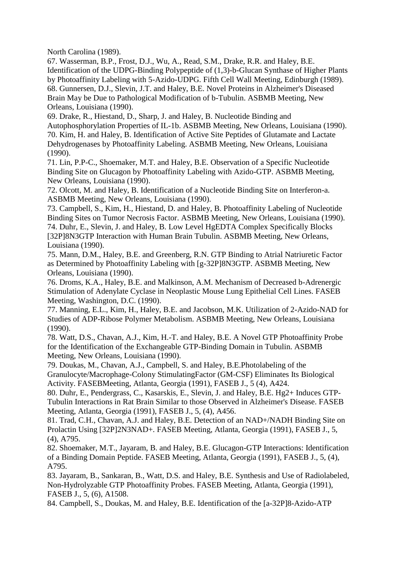North Carolina (1989).

67. Wasserman, B.P., Frost, D.J., Wu, A., Read, S.M., Drake, R.R. and Haley, B.E. Identification of the UDPG-Binding Polypeptide of (1,3)-b-Glucan Synthase of Higher Plants by Photoaffinity Labeling with 5-Azido-UDPG. Fifth Cell Wall Meeting, Edinburgh (1989). 68. Gunnersen, D.J., Slevin, J.T. and Haley, B.E. Novel Proteins in Alzheimer's Diseased Brain May be Due to Pathological Modification of b-Tubulin. ASBMB Meeting, New Orleans, Louisiana (1990).

69. Drake, R., Hiestand, D., Sharp, J. and Haley, B. Nucleotide Binding and Autophosphorylation Properties of IL-1b. ASBMB Meeting, New Orleans, Louisiana (1990). 70. Kim, H. and Haley, B. Identification of Active Site Peptides of Glutamate and Lactate Dehydrogenases by Photoaffinity Labeling. ASBMB Meeting, New Orleans, Louisiana (1990).

71. Lin, P.P-C., Shoemaker, M.T. and Haley, B.E. Observation of a Specific Nucleotide Binding Site on Glucagon by Photoaffinity Labeling with Azido-GTP. ASBMB Meeting, New Orleans, Louisiana (1990).

72. Olcott, M. and Haley, B. Identification of a Nucleotide Binding Site on Interferon-a. ASBMB Meeting, New Orleans, Louisiana (1990).

73. Campbell, S., Kim, H., Hiestand, D. and Haley, B. Photoaffinity Labeling of Nucleotide Binding Sites on Tumor Necrosis Factor. ASBMB Meeting, New Orleans, Louisiana (1990). 74. Duhr, E., Slevin, J. and Haley, B. Low Level HgEDTA Complex Specifically Blocks [32P]8N3GTP Interaction with Human Brain Tubulin. ASBMB Meeting, New Orleans, Louisiana (1990).

75. Mann, D.M., Haley, B.E. and Greenberg, R.N. GTP Binding to Atrial Natriuretic Factor as Determined by Photoaffinity Labeling with [g-32P]8N3GTP. ASBMB Meeting, New Orleans, Louisiana (1990).

76. Droms, K.A., Haley, B.E. and Malkinson, A.M. Mechanism of Decreased b-Adrenergic Stimulation of Adenylate Cyclase in Neoplastic Mouse Lung Epithelial Cell Lines. FASEB Meeting, Washington, D.C. (1990).

77. Manning, E.L., Kim, H., Haley, B.E. and Jacobson, M.K. Utilization of 2-Azido-NAD for Studies of ADP-Ribose Polymer Metabolism. ASBMB Meeting, New Orleans, Louisiana (1990).

78. Watt, D.S., Chavan, A.J., Kim, H.-T. and Haley, B.E. A Novel GTP Photoaffinity Probe for the Identification of the Exchangeable GTP-Binding Domain in Tubulin. ASBMB Meeting, New Orleans, Louisiana (1990).

79. Doukas, M., Chavan, A.J., Campbell, S. and Haley, B.E.Photolabeling of the Granulocyte/Macrophage-Colony StimulatingFactor (GM-CSF) Eliminates Its Biological Activity. FASEBMeeting, Atlanta, Georgia (1991), FASEB J., 5 (4), A424.

80. Duhr, E., Pendergrass, C., Kasarskis, E., Slevin, J. and Haley, B.E. Hg2+ Induces GTP-Tubulin Interactions in Rat Brain Similar to those Observed in Alzheimer's Disease. FASEB Meeting, Atlanta, Georgia (1991), FASEB J., 5, (4), A456.

81. Trad, C.H., Chavan, A.J. and Haley, B.E. Detection of an NAD+/NADH Binding Site on Prolactin Using [32P]2N3NAD+. FASEB Meeting, Atlanta, Georgia (1991), FASEB J., 5, (4), A795.

82. Shoemaker, M.T., Jayaram, B. and Haley, B.E. Glucagon-GTP Interactions: Identification of a Binding Domain Peptide. FASEB Meeting, Atlanta, Georgia (1991), FASEB J., 5, (4), A795.

83. Jayaram, B., Sankaran, B., Watt, D.S. and Haley, B.E. Synthesis and Use of Radiolabeled, Non-Hydrolyzable GTP Photoaffinity Probes. FASEB Meeting, Atlanta, Georgia (1991), FASEB J., 5, (6), A1508.

84. Campbell, S., Doukas, M. and Haley, B.E. Identification of the [a-32P]8-Azido-ATP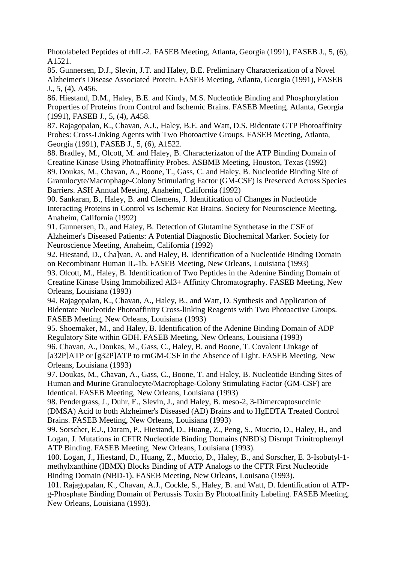Photolabeled Peptides of rhIL-2. FASEB Meeting, Atlanta, Georgia (1991), FASEB J., 5, (6), A1521.

85. Gunnersen, D.J., Slevin, J.T. and Haley, B.E. Preliminary Characterization of a Novel Alzheimer's Disease Associated Protein. FASEB Meeting, Atlanta, Georgia (1991), FASEB J., 5, (4), A456.

86. Hiestand, D.M., Haley, B.E. and Kindy, M.S. Nucleotide Binding and Phosphorylation Properties of Proteins from Control and Ischemic Brains. FASEB Meeting, Atlanta, Georgia (1991), FASEB J., 5, (4), A458.

87. Rajagopalan, K., Chavan, A.J., Haley, B.E. and Watt, D.S. Bidentate GTP Photoaffinity Probes: Cross-Linking Agents with Two Photoactive Groups. FASEB Meeting, Atlanta, Georgia (1991), FASEB J., 5, (6), A1522.

88. Bradley, M., Olcott, M. and Haley, B. Characterizaton of the ATP Binding Domain of Creatine Kinase Using Photoaffinity Probes. ASBMB Meeting, Houston, Texas (1992) 89. Doukas, M., Chavan, A., Boone, T., Gass, C. and Haley, B. Nucleotide Binding Site of Granulocyte/Macrophage-Colony Stimulating Factor (GM-CSF) is Preserved Across Species Barriers. ASH Annual Meeting, Anaheim, California (1992)

90. Sankaran, B., Haley, B. and Clemens, J. Identification of Changes in Nucleotide Interacting Proteins in Control vs Ischemic Rat Brains. Society for Neuroscience Meeting, Anaheim, California (1992)

91. Gunnersen, D., and Haley, B. Detection of Glutamine Synthetase in the CSF of Alzheimer's Diseased Patients: A Potential Diagnostic Biochemical Marker. Society for Neuroscience Meeting, Anaheim, California (1992)

92. Hiestand, D., Cha]van, A. and Haley, B. Identification of a Nucleotide Binding Domain on Recombinant Human IL-1b. FASEB Meeting, New Orleans, Louisiana (1993)

93. Olcott, M., Haley, B. Identification of Two Peptides in the Adenine Binding Domain of Creatine Kinase Using Immobilized Al3+ Affinity Chromatography. FASEB Meeting, New Orleans, Louisiana (1993)

94. Rajagopalan, K., Chavan, A., Haley, B., and Watt, D. Synthesis and Application of Bidentate Nucleotide Photoaffinity Cross-linking Reagents with Two Photoactive Groups. FASEB Meeting, New Orleans, Louisiana (1993)

95. Shoemaker, M., and Haley, B. Identification of the Adenine Binding Domain of ADP Regulatory Site within GDH. FASEB Meeting, New Orleans, Louisiana (1993) 96. Chavan, A., Doukas, M., Gass, C., Haley, B. and Boone, T. Covalent Linkage of

[a32P]ATP or [g32P]ATP to rmGM-CSF in the Absence of Light. FASEB Meeting, New Orleans, Louisiana (1993)

97. Doukas, M., Chavan, A., Gass, C., Boone, T. and Haley, B. Nucleotide Binding Sites of Human and Murine Granulocyte/Macrophage-Colony Stimulating Factor (GM-CSF) are Identical. FASEB Meeting, New Orleans, Louisiana (1993)

98. Pendergrass, J., Duhr, E., Slevin, J., and Haley, B. meso-2, 3-Dimercaptosuccinic (DMSA) Acid to both Alzheimer's Diseased (AD) Brains and to HgEDTA Treated Control Brains. FASEB Meeting, New Orleans, Louisiana (1993)

99. Sorscher, E.J., Daram, P., Hiestand, D., Huang, Z., Peng, S., Muccio, D., Haley, B., and Logan, J. Mutations in CFTR Nucleotide Binding Domains (NBD's) Disrupt Trinitrophemyl ATP Binding. FASEB Meeting, New Orleans, Louisiana (1993).

100. Logan, J., Hiestand, D., Huang, Z., Muccio, D., Haley, B., and Sorscher, E. 3-Isobutyl-1 methylxanthine (IBMX) Blocks Binding of ATP Analogs to the CFTR First Nucleotide Binding Domain (NBD-1). FASEB Meeting, New Orleans, Louisana (1993).

101. Rajagopalan, K., Chavan, A.J., Cockle, S., Haley, B. and Watt, D. Identification of ATPg-Phosphate Binding Domain of Pertussis Toxin By Photoaffinity Labeling. FASEB Meeting, New Orleans, Louisiana (1993).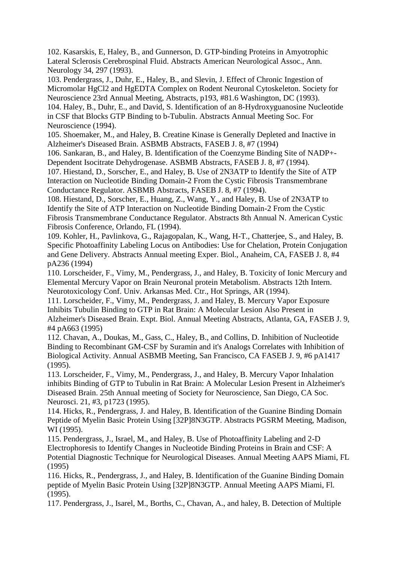102. Kasarskis, E, Haley, B., and Gunnerson, D. GTP-binding Proteins in Amyotrophic Lateral Sclerosis Cerebrospinal Fluid. Abstracts American Neurological Assoc., Ann. Neurology 34, 297 (1993).

103. Pendergrass, J., Duhr, E., Haley, B., and Slevin, J. Effect of Chronic Ingestion of Micromolar HgCl2 and HgEDTA Complex on Rodent Neuronal Cytoskeleton. Society for Neuroscience 23rd Annual Meeting, Abstracts, p193, #81.6 Washington, DC (1993). 104. Haley, B., Duhr, E., and David, S. Identification of an 8-Hydroxyguanosine Nucleotide in CSF that Blocks GTP Binding to b-Tubulin. Abstracts Annual Meeting Soc. For Neuroscience (1994).

105. Shoemaker, M., and Haley, B. Creatine Kinase is Generally Depleted and Inactive in Alzheimer's Diseased Brain. ASBMB Abstracts, FASEB J. 8, #7 (1994)

106. Sankaran, B., and Haley, B. Identification of the Coenzyme Binding Site of NADP+- Dependent Isocitrate Dehydrogenase. ASBMB Abstracts, FASEB J. 8, #7 (1994).

107. Hiestand, D., Sorscher, E., and Haley, B. Use of 2N3ATP to Identify the Site of ATP Interaction on Nucleotide Binding Domain-2 From the Cystic Fibrosis Transmembrane Conductance Regulator. ASBMB Abstracts, FASEB J. 8, #7 (1994).

108. Hiestand, D., Sorscher, E., Huang, Z., Wang, Y., and Haley, B. Use of 2N3ATP to Identify the Site of ATP Interaction on Nucleotide Binding Domain-2 From the Cystic Fibrosis Transmembrane Conductance Regulator. Abstracts 8th Annual N. American Cystic Fibrosis Conference, Orlando, FL (1994).

109. Kohler, H., Pavlinkova, G., Rajagopalan, K., Wang, H-T., Chatterjee, S., and Haley, B. Specific Photoaffinity Labeling Locus on Antibodies: Use for Chelation, Protein Conjugation and Gene Delivery. Abstracts Annual meeting Exper. Biol., Anaheim, CA, FASEB J. 8, #4 pA236 (1994)

110. Lorscheider, F., Vimy, M., Pendergrass, J., and Haley, B. Toxicity of Ionic Mercury and Elemental Mercury Vapor on Brain Neuronal protein Metabolism. Abstracts 12th Intern. Neurotoxicology Conf. Univ. Arkansas Med. Ctr., Hot Springs, AR (1994).

111. Lorscheider, F., Vimy, M., Pendergrass, J. and Haley, B. Mercury Vapor Exposure Inhibits Tubulin Binding to GTP in Rat Brain: A Molecular Lesion Also Present in Alzheimer's Diseased Brain. Expt. Biol. Annual Meeting Abstracts, Atlanta, GA, FASEB J. 9, #4 pA663 (1995)

112. Chavan, A., Doukas, M., Gass, C., Haley, B., and Collins, D. Inhibition of Nucleotide Binding to Recombinant GM-CSF by Suramin and it's Analogs Correlates with Inhibition of Biological Activity. Annual ASBMB Meeting, San Francisco, CA FASEB J. 9, #6 pA1417 (1995).

113. Lorscheider, F., Vimy, M., Pendergrass, J., and Haley, B. Mercury Vapor Inhalation inhibits Binding of GTP to Tubulin in Rat Brain: A Molecular Lesion Present in Alzheimer's Diseased Brain. 25th Annual meeting of Society for Neuroscience, San Diego, CA Soc. Neurosci. 21, #3, p1723 (1995).

114. Hicks, R., Pendergrass, J. and Haley, B. Identification of the Guanine Binding Domain Peptide of Myelin Basic Protein Using [32P]8N3GTP. Abstracts PGSRM Meeting, Madison, WI (1995).

115. Pendergrass, J., Israel, M., and Haley, B. Use of Photoaffinity Labeling and 2-D Electrophoresis to Identify Changes in Nucleotide Binding Proteins in Brain and CSF: A Potential Diagnostic Technique for Neurological Diseases. Annual Meeting AAPS Miami, FL (1995)

116. Hicks, R., Pendergrass, J., and Haley, B. Identification of the Guanine Binding Domain peptide of Myelin Basic Protein Using [32P]8N3GTP. Annual Meeting AAPS Miami, Fl. (1995).

117. Pendergrass, J., Isarel, M., Borths, C., Chavan, A., and haley, B. Detection of Multiple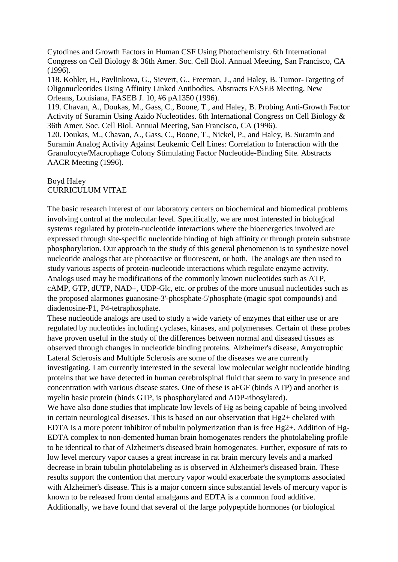Cytodines and Growth Factors in Human CSF Using Photochemistry. 6th International Congress on Cell Biology & 36th Amer. Soc. Cell Biol. Annual Meeting, San Francisco, CA (1996).

118. Kohler, H., Pavlinkova, G., Sievert, G., Freeman, J., and Haley, B. Tumor-Targeting of Oligonucleotides Using Affinity Linked Antibodies. Abstracts FASEB Meeting, New Orleans, Louisiana, FASEB J. 10, #6 pA1350 (1996).

119. Chavan, A., Doukas, M., Gass, C., Boone, T., and Haley, B. Probing Anti-Growth Factor Activity of Suramin Using Azido Nucleotides. 6th International Congress on Cell Biology & 36th Amer. Soc. Cell Biol. Annual Meeting, San Francisco, CA (1996).

120. Doukas, M., Chavan, A., Gass, C., Boone, T., Nickel, P., and Haley, B. Suramin and Suramin Analog Activity Against Leukemic Cell Lines: Correlation to Interaction with the Granulocyte/Macrophage Colony Stimulating Factor Nucleotide-Binding Site. Abstracts AACR Meeting (1996).

# Boyd Haley CURRICULUM VITAE

The basic research interest of our laboratory centers on biochemical and biomedical problems involving control at the molecular level. Specifically, we are most interested in biological systems regulated by protein-nucleotide interactions where the bioenergetics involved are expressed through site-specific nucleotide binding of high affinity or through protein substrate phosphorylation. Our approach to the study of this general phenomenon is to synthesize novel nucleotide analogs that are photoactive or fluorescent, or both. The analogs are then used to study various aspects of protein-nucleotide interactions which regulate enzyme activity. Analogs used may be modifications of the commonly known nucleotides such as ATP, cAMP, GTP, dUTP, NAD+, UDP-Glc, etc. or probes of the more unusual nucleotides such as the proposed alarmones guanosine-3'-phosphate-5'phosphate (magic spot compounds) and diadenosine-P1, P4-tetraphosphate.

These nucleotide analogs are used to study a wide variety of enzymes that either use or are regulated by nucleotides including cyclases, kinases, and polymerases. Certain of these probes have proven useful in the study of the differences between normal and diseased tissues as observed through changes in nucleotide binding proteins. Alzheimer's disease, Amyotrophic Lateral Sclerosis and Multiple Sclerosis are some of the diseases we are currently investigating. I am currently interested in the several low molecular weight nucleotide binding proteins that we have detected in human cerebrolspinal fluid that seem to vary in presence and concentration with various disease states. One of these is aFGF (binds ATP) and another is myelin basic protein (binds GTP, is phosphorylated and ADP-ribosylated). We have also done studies that implicate low levels of Hg as being capable of being involved in certain neurological diseases. This is based on our observation that Hg2+ chelated with EDTA is a more potent inhibitor of tubulin polymerization than is free Hg2+. Addition of Hg-

EDTA complex to non-demented human brain homogenates renders the photolabeling profile to be identical to that of Alzheimer's diseased brain homogenates. Further, exposure of rats to low level mercury vapor causes a great increase in rat brain mercury levels and a marked decrease in brain tubulin photolabeling as is observed in Alzheimer's diseased brain. These results support the contention that mercury vapor would exacerbate the symptoms associated with Alzheimer's disease. This is a major concern since substantial levels of mercury vapor is known to be released from dental amalgams and EDTA is a common food additive. Additionally, we have found that several of the large polypeptide hormones (or biological